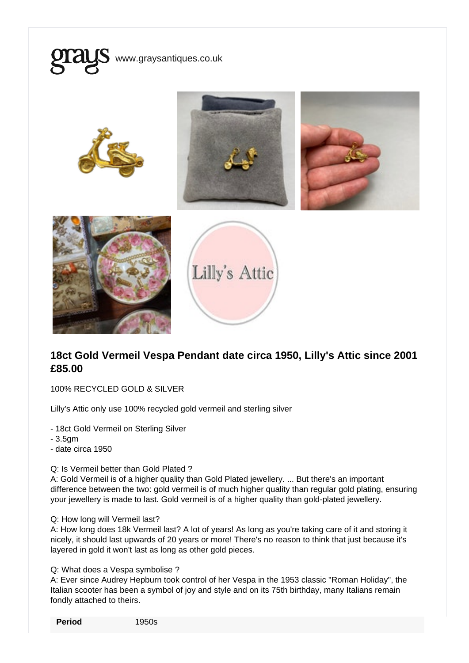

## 18ct Gold Vermeil Vespa Pendant date circa 1950, Lilly's Attic since 2001 £85.00

100% RECYCLED GOLD & SILVER

Lilly's Attic only use 100% recycled gold vermeil and sterling silver

- 18ct Gold Vermeil on Sterling Silver

- 3.5gm

- date circa 1950

## Q: Is Vermeil better than Gold Plated ?

A: Gold Vermeil is of a higher quality than Gold Plated jewellery. ... But there's an important difference between the two: gold vermeil is of much higher quality than regular gold plating, ensuring your jewellery is made to last. Gold vermeil is of a higher quality than gold-plated jewellery.

## Q: How long will Vermeil last?

A: How long does 18k Vermeil last? A lot of years! As long as you're taking care of it and storing it nicely, it should last upwards of 20 years or more! There's no reason to think that just because it's layered in gold it won't last as long as other gold pieces.

## Q: What does a Vespa symbolise ?

A: Ever since Audrey Hepburn took control of her Vespa in the 1953 classic "Roman Holiday", the Italian scooter has been a symbol of joy and style and on its 75th birthday, many Italians remain fondly attached to theirs.

Period 1950s